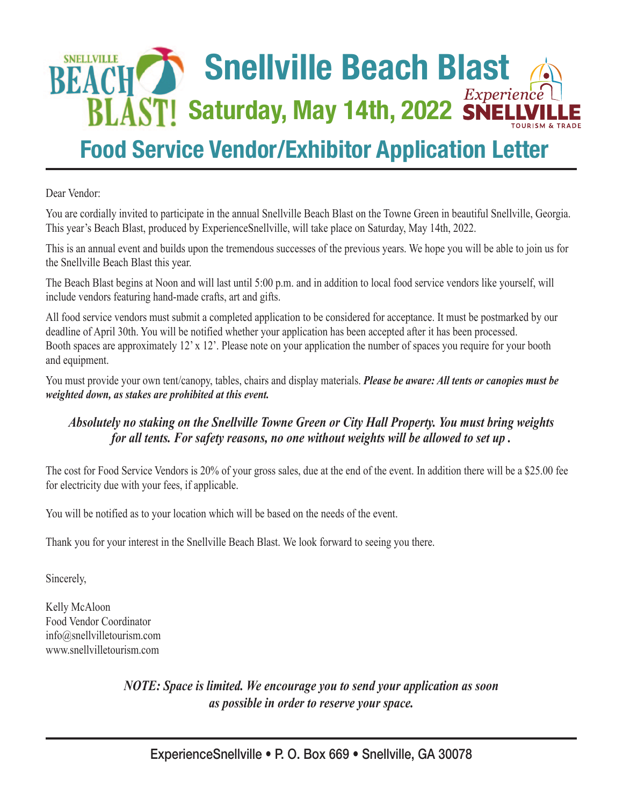# **SNELLVILLE Snellville Beach Blast BLAST! Saturday, May 14th, 2022 SNELLVI**

# **Food Service Vendor/Exhibitor Application Letter**

Dear Vendor:

You are cordially invited to participate in the annual Snellville Beach Blast on the Towne Green in beautiful Snellville, Georgia. This year's Beach Blast, produced by ExperienceSnellville, will take place on Saturday, May 14th, 2022.

This is an annual event and builds upon the tremendous successes of the previous years. We hope you will be able to join us for the Snellville Beach Blast this year.

The Beach Blast begins at Noon and will last until 5:00 p.m. and in addition to local food service vendors like yourself, will include vendors featuring hand-made crafts, art and gifts.

All food service vendors must submit a completed application to be considered for acceptance. It must be postmarked by our deadline of April 30th. You will be notified whether your application has been accepted after it has been processed. Booth spaces are approximately 12' x 12'. Please note on your application the number of spaces you require for your booth and equipment.

You must provide your own tent/canopy, tables, chairs and display materials. *Please be aware: All tents or canopies must be weighted down, as stakes are prohibited at this event.*

# *Absolutely no staking on the Snellville Towne Green or City Hall Property. You must bring weights for all tents. For safety reasons, no one without weights will be allowed to set up .*

The cost for Food Service Vendors is 20% of your gross sales, due at the end of the event. In addition there will be a \$25.00 fee for electricity due with your fees, if applicable.

You will be notified as to your location which will be based on the needs of the event.

Thank you for your interest in the Snellville Beach Blast. We look forward to seeing you there.

Sincerely,

Kelly McAloon Food Vendor Coordinator info@snellvilletourism.com www.snellvilletourism.com

> *NOTE: Space is limited. We encourage you to send your application as soon as possible in order to reserve your space.*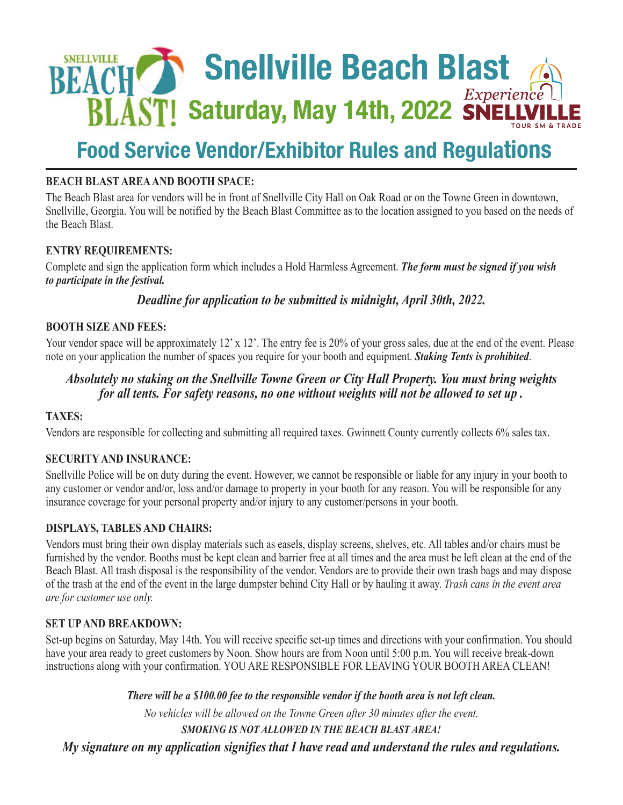

# **Food Service Vendor/Exhibitor Rules and Regulations**

# **BEACH BLAST AREA AND BOOTH SPACE:**

The Beach Blast area for vendors will be in front of Snellville City Hall on Oak Road or on the Towne Green in downtown, Snellville, Georgia. You will be notified by the Beach Blast Committee as to the location assigned to you based on the needs of the Beach Blast.

## **ENTRY REQUIREMENTS:**

Complete and sign the application form which includes a Hold Harmless Agreement. *The form must be signed if you wish to participate in the festival.* 

*Deadline for application to be submitted is midnight, April 30th, 2022.* 

## **BOOTH SIZE AND FEES:**

Your vendor space will be approximately 12' x 12'. The entry fee is 20% of your gross sales, due at the end of the event. Please note on your application the number of spaces you require for your booth and equipment. *Staking Tents is prohibited*.

# *Absolutely no staking on the Snellville Towne Green or City Hall Property. You must bring weights for all tents. For safety reasons, no one without weights will not be allowed to set up .*

## **TAXES:**

Vendors are responsible for collecting and submitting all required taxes. Gwinnett County currently collects 6% sales tax.

## **SECURITY AND INSURANCE:**

Snellville Police will be on duty during the event. However, we cannot be responsible or liable for any injury in your booth to any customer or vendor and/or, loss and/or damage to property in your booth for any reason. You will be responsible for any insurance coverage for your personal property and/or injury to any customer/persons in your booth.

## **DISPLAYS, TABLES AND CHAIRS:**

Vendors must bring their own display materials such as easels, display screens, shelves, etc. All tables and/or chairs must be furnished by the vendor. Booths must be kept clean and barrier free at all times and the area must be left clean at the end of the Beach Blast. All trash disposal is the responsibility of the vendor. Vendors are to provide their own trash bags and may dispose of the trash at the end of the event in the large dumpster behind City Hall or by hauling it away. *Trash cans in the event area are for customer use only.*

## **SET UP AND BREAKDOWN:**

Set-up begins on Saturday, May 14th. You will receive specific set-up times and directions with your confirmation. You should have your area ready to greet customers by Noon. Show hours are from Noon until 5:00 p.m. You will receive break-down instructions along with your confirmation. YOU ARE RESPONSIBLE FOR LEAVING YOUR BOOTH AREA CLEAN!

*There will be a \$100.00 fee to the responsible vendor if the booth area is not left clean.*

*No vehicles will be allowed on the Towne Green after 30 minutes after the event. SMOKING IS NOT ALLOWED IN THE BEACH BLAST AREA!* 

*My signature on my application signifies that I have read and understand the rules and regulations.*